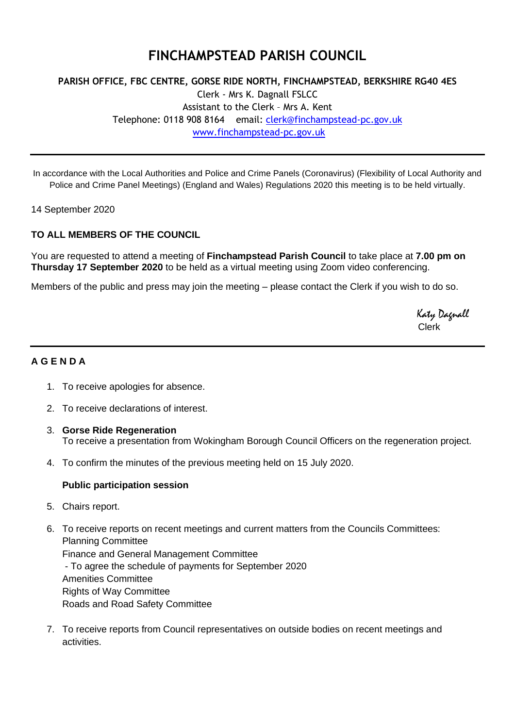# **FINCHAMPSTEAD PARISH COUNCIL**

## **PARISH OFFICE, FBC CENTRE, GORSE RIDE NORTH, FINCHAMPSTEAD, BERKSHIRE RG40 4ES** Clerk - Mrs K. Dagnall FSLCC Assistant to the Clerk – Mrs A. Kent Telephone: 0118 908 8164 email: [clerk@finchampstead-pc.gov.uk](mailto:clerk@finchampstead-pc.gov.uk) [www.finchampstead-pc.gov.uk](http://www.finchampstead-pc.gov.uk/)

In accordance with the Local Authorities and Police and Crime Panels (Coronavirus) (Flexibility of Local Authority and Police and Crime Panel Meetings) (England and Wales) Regulations 2020 this meeting is to be held virtually.

14 September 2020

### **TO ALL MEMBERS OF THE COUNCIL**

You are requested to attend a meeting of **Finchampstead Parish Council** to take place at **7.00 pm on Thursday 17 September 2020** to be held as a virtual meeting using Zoom video conferencing.

Members of the public and press may join the meeting – please contact the Clerk if you wish to do so.

 Katy Dagnall Clerk

### **A G E N D A**

- 1. To receive apologies for absence.
- 2. To receive declarations of interest.
- 3. **Gorse Ride Regeneration** To receive a presentation from Wokingham Borough Council Officers on the regeneration project.
- 4. To confirm the minutes of the previous meeting held on 15 July 2020.

#### **Public participation session**

- 5. Chairs report.
- 6. To receive reports on recent meetings and current matters from the Councils Committees: Planning Committee Finance and General Management Committee - To agree the schedule of payments for September 2020 Amenities Committee Rights of Way Committee Roads and Road Safety Committee
- 7. To receive reports from Council representatives on outside bodies on recent meetings and activities.